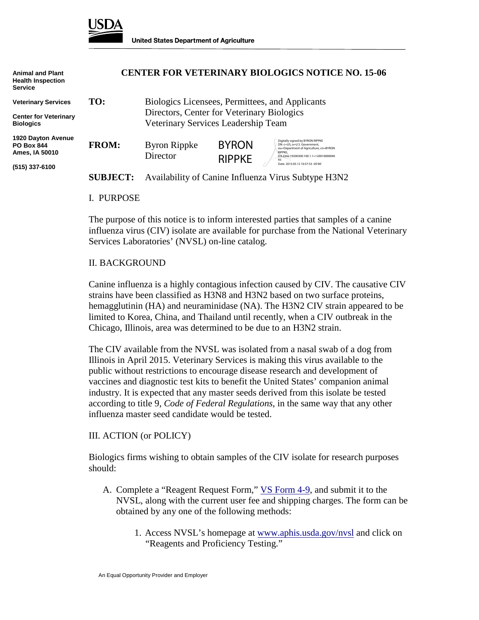

| <b>Animal and Plant</b><br><b>Health Inspection</b><br><b>Service</b> | <b>CENTER FOR VETERINARY BIOLOGICS NOTICE NO. 15-06</b> |                                                                                               |                               |                                                                                                                                                                       |
|-----------------------------------------------------------------------|---------------------------------------------------------|-----------------------------------------------------------------------------------------------|-------------------------------|-----------------------------------------------------------------------------------------------------------------------------------------------------------------------|
| <b>Veterinary Services</b>                                            | TO:                                                     | Biologics Licensees, Permittees, and Applicants<br>Directors, Center for Veterinary Biologics |                               |                                                                                                                                                                       |
| <b>Center for Veterinary</b>                                          |                                                         |                                                                                               |                               |                                                                                                                                                                       |
| <b>Biologics</b>                                                      | Veterinary Services Leadership Team                     |                                                                                               |                               |                                                                                                                                                                       |
| <b>1920 Dayton Avenue</b><br><b>PO Box 844</b><br>Ames, IA 50010      | <b>FROM:</b>                                            | <b>Byron Rippke</b><br>Director                                                               | <b>BYRON</b><br><b>RIPPKE</b> | Digitally signed by BYRON RIPPKE<br>DN: c=US, o=U.S. Government.<br>ou=Department of Agriculture, cn=BYRON<br>RIPPKE.<br>0.9.2342.19200300.100.1.1=120010000040<br>93 |
| (515) 337-6100                                                        |                                                         |                                                                                               |                               | Date: 2015.05.12 10:57:53 -05'00'                                                                                                                                     |
|                                                                       | <b>SUBJECT:</b>                                         | Availability of Canine Influenza Virus Subtype H3N2                                           |                               |                                                                                                                                                                       |

I. PURPOSE

The purpose of this notice is to inform interested parties that samples of a canine influenza virus (CIV) isolate are available for purchase from the National Veterinary Services Laboratories' (NVSL) on-line catalog.

## II. BACKGROUND

Canine influenza is a highly contagious infection caused by CIV. The causative CIV strains have been classified as H3N8 and H3N2 based on two surface proteins, hemagglutinin (HA) and neuraminidase (NA). The H3N2 CIV strain appeared to be limited to Korea, China, and Thailand until recently, when a CIV outbreak in the Chicago, Illinois, area was determined to be due to an H3N2 strain.

The CIV available from the NVSL was isolated from a nasal swab of a dog from Illinois in April 2015. Veterinary Services is making this virus available to the public without restrictions to encourage disease research and development of vaccines and diagnostic test kits to benefit the United States' companion animal industry. It is expected that any master seeds derived from this isolate be tested according to title 9, *Code of Federal Regulations*, in the same way that any other influenza master seed candidate would be tested.

## III. ACTION (or POLICY)

Biologics firms wishing to obtain samples of the CIV isolate for research purposes should:

- A. Complete a "Reagent Request Form," VS [Form 4-9,](http://www.aphis.usda.gov/library/forms/pdf/VS_Form4_9.pdf) and submit it to the NVSL, along with the current user fee and shipping charges. The form can be obtained by any one of the following methods:
	- 1. Access NVSL's homepage at [www.aphis.usda.gov/nvsl](http://www.aphis.usda.gov/nvsl) and click on "Reagents and Proficiency Testing."